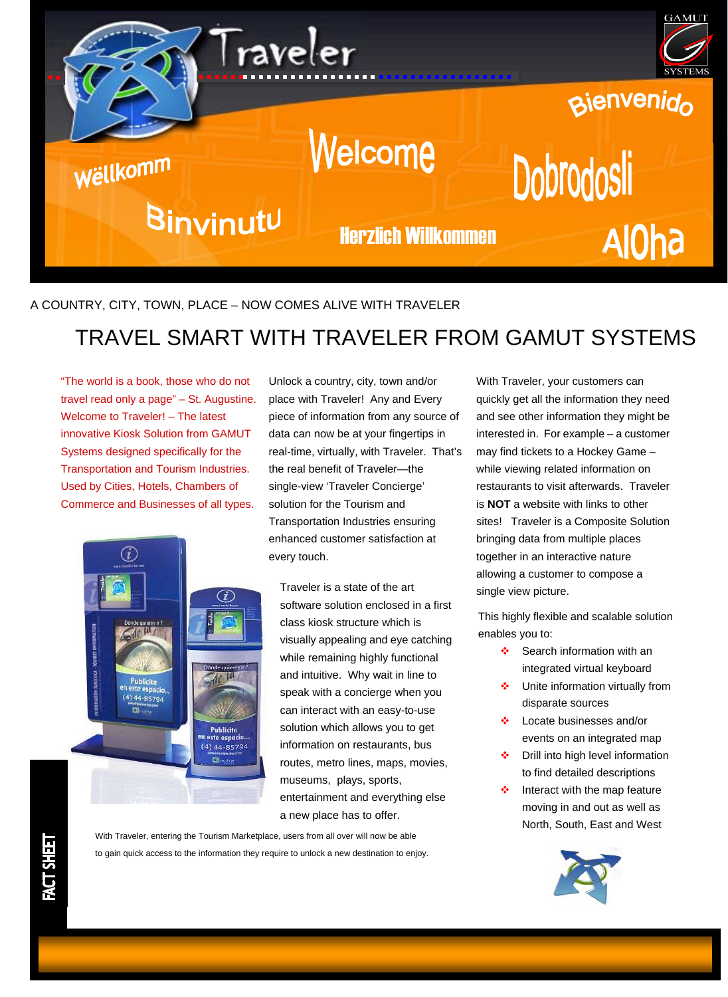

## A COUNTRY, CITY, TOWN, PLACE – NOW COMES ALIVE WITH TRAVELER

## TRAVEL SMART WITH TRAVELER FROM GAMUT SYSTEMS

"The world is a book, those who do not travel read only a page" – St. Augustine. Welcome to Traveler! – The latest innovative Kiosk Solution from GAMUT Systems designed specifically for the Transportation and Tourism Industries. Used by Cities, Hotels, Chambers of Commerce and Businesses of all types.



Unlock a country, city, town and/or place with Traveler! Any and Every piece of information from any source of data can now be at your fingertips in real-time, virtually, with Traveler. That's the real benefit of Traveler—the single-view 'Traveler Concierge' solution for the Tourism and Transportation Industries ensuring enhanced customer satisfaction at every touch.

Traveler is a state of the art software solution enclosed in a first class kiosk structure which is visually appealing and eye catching while remaining highly functional and intuitive. Why wait in line to speak with a concierge when you can interact with an easy-to-use solution which allows you to get information on restaurants, bus routes, metro lines, maps, movies, museums, plays, sports, entertainment and everything else a new place has to offer.

With Traveler, entering the Tourism Marketplace, users from all over will now be able to gain quick access to the information they require to unlock a new destination to enjoy. With Traveler, your customers can quickly get all the information they need and see other information they might be interested in. For example – a customer may find tickets to a Hockey Game – while viewing related information on restaurants to visit afterwards. Traveler is **NOT** a website with links to other sites! Traveler is a Composite Solution bringing data from multiple places together in an interactive nature allowing a customer to compose a single view picture.

This highly flexible and scalable solution enables you to:

- ❖ Search information with an integrated virtual keyboard
- Unite information virtually from disparate sources
- Locate businesses and/or events on an integrated map
- **❖** Drill into high level information to find detailed descriptions
- $\div$  Interact with the map feature moving in and out as well as North, South, East and West